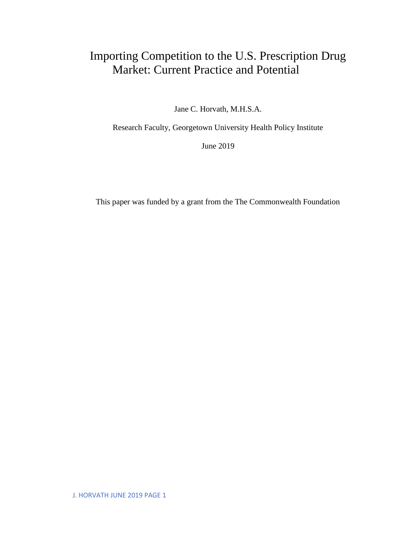# Importing Competition to the U.S. Prescription Drug Market: Current Practice and Potential

Jane C. Horvath, M.H.S.A.

Research Faculty, Georgetown University Health Policy Institute

June 2019

This paper was funded by a grant from the The Commonwealth Foundation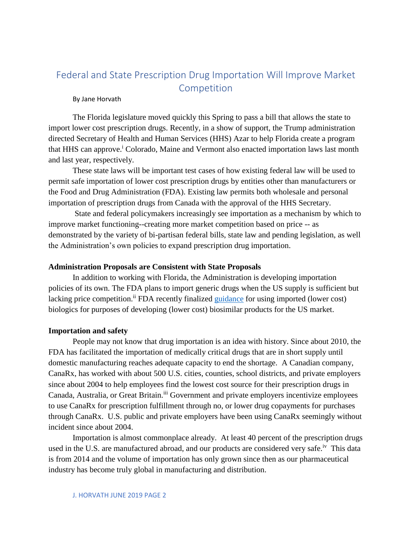## Federal and State Prescription Drug Importation Will Improve Market Competition

By Jane Horvath

The Florida legislature moved quickly this Spring to pass a bill that allows the state to import lower cost prescription drugs. Recently, in a show of support, the Trump administration directed Secretary of Health and Human Services (HHS) Azar to help Florida create a program that HHS can approve.<sup>i</sup> Colorado, Maine and Vermont also enacted importation laws last month and last year, respectively.

These state laws will be important test cases of how existing federal law will be used to permit safe importation of lower cost prescription drugs by entities other than manufacturers or the Food and Drug Administration (FDA). Existing law permits both wholesale and personal importation of prescription drugs from Canada with the approval of the HHS Secretary.

State and federal policymakers increasingly see importation as a mechanism by which to improve market functioning--creating more market competition based on price -- as demonstrated by the variety of bi-partisan federal bills, state law and pending legislation, as well the Administration's own policies to expand prescription drug importation.

#### **Administration Proposals are Consistent with State Proposals**

In addition to working with Florida, the Administration is developing importation policies of its own. The FDA plans to import generic drugs when the US supply is sufficient but lacking price competition.<sup>ii</sup> FDA recently finalized [guidance](https://www.fda.gov/regulatory-information/search-fda-guidance-documents/considerations-demonstrating-interchangeability-reference-product-guidance-industry) for using imported (lower cost) biologics for purposes of developing (lower cost) biosimilar products for the US market.

#### **Importation and safety**

People may not know that drug importation is an idea with history. Since about 2010, the FDA has facilitated the importation of medically critical drugs that are in short supply until domestic manufacturing reaches adequate capacity to end the shortage. A Canadian company, CanaRx, has worked with about 500 U.S. cities, counties, school districts, and private employers since about 2004 to help employees find the lowest cost source for their prescription drugs in Canada, Australia, or Great Britain.<sup>iii</sup> Government and private employers incentivize employees to use CanaRx for prescription fulfillment through no, or lower drug copayments for purchases through CanaRx. U.S. public and private employers have been using CanaRx seemingly without incident since about 2004.

Importation is almost commonplace already. At least 40 percent of the prescription drugs used in the U.S. are manufactured abroad, and our products are considered very safe.<sup>iv</sup> This data is from 2014 and the volume of importation has only grown since then as our pharmaceutical industry has become truly global in manufacturing and distribution.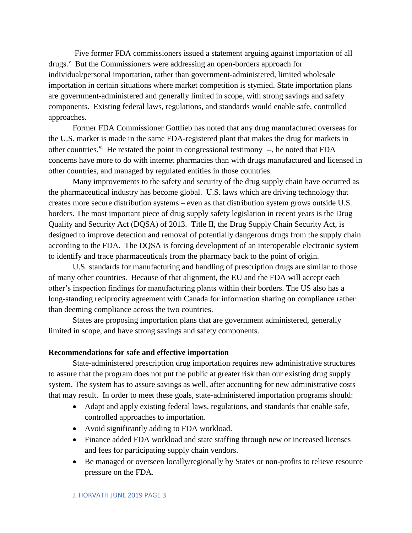Five former FDA commissioners issued a statement arguing against importation of all drugs.<sup>v</sup> But the Commissioners were addressing an open-borders approach for individual/personal importation, rather than government-administered, limited wholesale importation in certain situations where market competition is stymied. State importation plans are government-administered and generally limited in scope, with strong savings and safety components. Existing federal laws, regulations, and standards would enable safe, controlled approaches.

Former FDA Commissioner Gottlieb has noted that any drug manufactured overseas for the U.S. market is made in the same FDA-registered plant that makes the drug for markets in other countries.<sup>vi</sup> He restated the point in congressional testimony --, he noted that FDA concerns have more to do with internet pharmacies than with drugs manufactured and licensed in other countries, and managed by regulated entities in those countries.

Many improvements to the safety and security of the drug supply chain have occurred as the pharmaceutical industry has become global. U.S. laws which are driving technology that creates more secure distribution systems – even as that distribution system grows outside U.S. borders. The most important piece of drug supply safety legislation in recent years is the Drug Quality and Security Act (DQSA) of 2013. Title II, the Drug Supply Chain Security Act, is designed to improve detection and removal of potentially dangerous drugs from the supply chain according to the FDA. The DQSA is forcing development of an interoperable electronic system to identify and trace pharmaceuticals from the pharmacy back to the point of origin.

U.S. standards for manufacturing and handling of prescription drugs are similar to those of many other countries. Because of that alignment, the EU and the FDA will accept each other's inspection findings for manufacturing plants within their borders. The US also has a long-standing reciprocity agreement with Canada for information sharing on compliance rather than deeming compliance across the two countries.

States are proposing importation plans that are government administered, generally limited in scope, and have strong savings and safety components.

### **Recommendations for safe and effective importation**

State-administered prescription drug importation requires new administrative structures to assure that the program does not put the public at greater risk than our existing drug supply system. The system has to assure savings as well, after accounting for new administrative costs that may result. In order to meet these goals, state-administered importation programs should:

- Adapt and apply existing federal laws, regulations, and standards that enable safe, controlled approaches to importation.
- Avoid significantly adding to FDA workload.
- Finance added FDA workload and state staffing through new or increased licenses and fees for participating supply chain vendors.
- Be managed or overseen locally/regionally by States or non-profits to relieve resource pressure on the FDA.